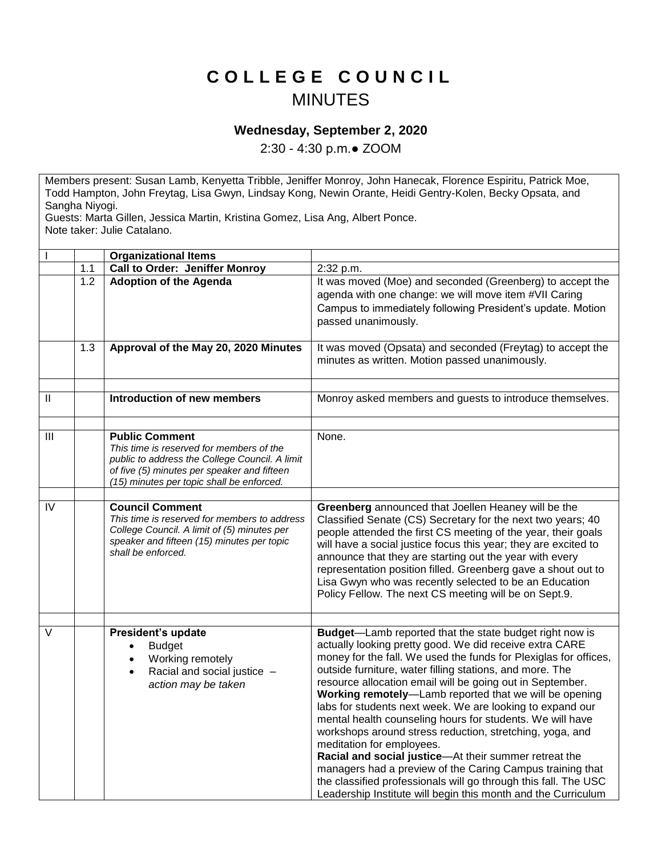## **C O L L E G E C O U N C I L** MINUTES

## **Wednesday, September 2, 2020**

2:30 - 4:30 p.m.● ZOOM

Members present: Susan Lamb, Kenyetta Tribble, Jeniffer Monroy, John Hanecak, Florence Espiritu, Patrick Moe, Todd Hampton, John Freytag, Lisa Gwyn, Lindsay Kong, Newin Orante, Heidi Gentry-Kolen, Becky Opsata, and Sangha Niyogi.

Guests: Marta Gillen, Jessica Martin, Kristina Gomez, Lisa Ang, Albert Ponce. Note taker: Julie Catalano.

|          |     | <b>Organizational Items</b>                                                                                                                                                                                     |                                                                                                                                                                                                                                                                                                                                                                                                                                                                                                                                                                                                                                                                                                                                                                                                                                                               |
|----------|-----|-----------------------------------------------------------------------------------------------------------------------------------------------------------------------------------------------------------------|---------------------------------------------------------------------------------------------------------------------------------------------------------------------------------------------------------------------------------------------------------------------------------------------------------------------------------------------------------------------------------------------------------------------------------------------------------------------------------------------------------------------------------------------------------------------------------------------------------------------------------------------------------------------------------------------------------------------------------------------------------------------------------------------------------------------------------------------------------------|
|          | 1.1 | <b>Call to Order: Jeniffer Monroy</b>                                                                                                                                                                           | 2:32 p.m.                                                                                                                                                                                                                                                                                                                                                                                                                                                                                                                                                                                                                                                                                                                                                                                                                                                     |
|          | 1.2 | <b>Adoption of the Agenda</b>                                                                                                                                                                                   | It was moved (Moe) and seconded (Greenberg) to accept the<br>agenda with one change: we will move item #VII Caring<br>Campus to immediately following President's update. Motion<br>passed unanimously.                                                                                                                                                                                                                                                                                                                                                                                                                                                                                                                                                                                                                                                       |
|          | 1.3 | Approval of the May 20, 2020 Minutes                                                                                                                                                                            | It was moved (Opsata) and seconded (Freytag) to accept the<br>minutes as written. Motion passed unanimously.                                                                                                                                                                                                                                                                                                                                                                                                                                                                                                                                                                                                                                                                                                                                                  |
|          |     |                                                                                                                                                                                                                 |                                                                                                                                                                                                                                                                                                                                                                                                                                                                                                                                                                                                                                                                                                                                                                                                                                                               |
| $\sf II$ |     | <b>Introduction of new members</b>                                                                                                                                                                              | Monroy asked members and guests to introduce themselves.                                                                                                                                                                                                                                                                                                                                                                                                                                                                                                                                                                                                                                                                                                                                                                                                      |
| III      |     | <b>Public Comment</b><br>This time is reserved for members of the<br>public to address the College Council. A limit<br>of five (5) minutes per speaker and fifteen<br>(15) minutes per topic shall be enforced. | None.                                                                                                                                                                                                                                                                                                                                                                                                                                                                                                                                                                                                                                                                                                                                                                                                                                                         |
|          |     |                                                                                                                                                                                                                 |                                                                                                                                                                                                                                                                                                                                                                                                                                                                                                                                                                                                                                                                                                                                                                                                                                                               |
| IV       |     | <b>Council Comment</b><br>This time is reserved for members to address<br>College Council. A limit of (5) minutes per<br>speaker and fifteen (15) minutes per topic<br>shall be enforced.                       | Greenberg announced that Joellen Heaney will be the<br>Classified Senate (CS) Secretary for the next two years; 40<br>people attended the first CS meeting of the year, their goals<br>will have a social justice focus this year; they are excited to<br>announce that they are starting out the year with every<br>representation position filled. Greenberg gave a shout out to<br>Lisa Gwyn who was recently selected to be an Education<br>Policy Fellow. The next CS meeting will be on Sept.9.                                                                                                                                                                                                                                                                                                                                                         |
|          |     |                                                                                                                                                                                                                 |                                                                                                                                                                                                                                                                                                                                                                                                                                                                                                                                                                                                                                                                                                                                                                                                                                                               |
| V        |     | President's update<br><b>Budget</b><br>Working remotely<br>$\bullet$<br>Racial and social justice -<br>action may be taken                                                                                      | <b>Budget-Lamb reported that the state budget right now is</b><br>actually looking pretty good. We did receive extra CARE<br>money for the fall. We used the funds for Plexiglas for offices,<br>outside furniture, water filling stations, and more. The<br>resource allocation email will be going out in September.<br>Working remotely-Lamb reported that we will be opening<br>labs for students next week. We are looking to expand our<br>mental health counseling hours for students. We will have<br>workshops around stress reduction, stretching, yoga, and<br>meditation for employees.<br>Racial and social justice-At their summer retreat the<br>managers had a preview of the Caring Campus training that<br>the classified professionals will go through this fall. The USC<br>Leadership Institute will begin this month and the Curriculum |